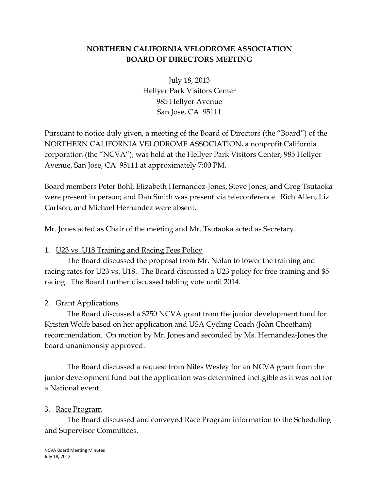## **NORTHERN CALIFORNIA VELODROME ASSOCIATION BOARD OF DIRECTORS MEETING**

July 18, 2013 Hellyer Park Visitors Center 985 Hellyer Avenue San Jose, CA 95111

Pursuant to notice duly given, a meeting of the Board of Directors (the "Board") of the NORTHERN CALIFORNIA VELODROME ASSOCIATION, a nonprofit California corporation (the "NCVA"), was held at the Hellyer Park Visitors Center, 985 Hellyer Avenue, San Jose, CA 95111 at approximately 7:00 PM.

Board members Peter Bohl, Elizabeth Hernandez-Jones, Steve Jones, and Greg Tsutaoka were present in person; and Dan Smith was present via teleconference. Rich Allen, Liz Carlson, and Michael Hernandez were absent.

Mr. Jones acted as Chair of the meeting and Mr. Tsutaoka acted as Secretary.

## 1. U23 vs. U18 Training and Racing Fees Policy

The Board discussed the proposal from Mr. Nolan to lower the training and racing rates for U23 vs. U18. The Board discussed a U23 policy for free training and \$5 racing. The Board further discussed tabling vote until 2014.

## 2. Grant Applications

The Board discussed a \$250 NCVA grant from the junior development fund for Kristen Wolfe based on her application and USA Cycling Coach (John Cheetham) recommendation. On motion by Mr. Jones and seconded by Ms. Hernandez-Jones the board unanimously approved.

The Board discussed a request from Niles Wesley for an NCVA grant from the junior development fund but the application was determined ineligible as it was not for a National event.

## 3. Race Program

The Board discussed and conveyed Race Program information to the Scheduling and Supervisor Committees.